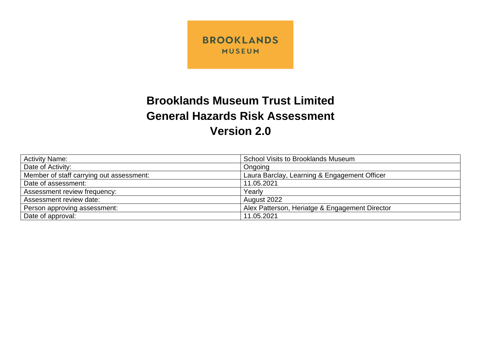

## **Brooklands Museum Trust Limited General Hazards Risk Assessment Version 2.0**

| <b>Activity Name:</b>                    | <b>School Visits to Brooklands Museum</b>      |
|------------------------------------------|------------------------------------------------|
| Date of Activity:                        | Ongoing                                        |
| Member of staff carrying out assessment: | Laura Barclay, Learning & Engagement Officer   |
| Date of assessment:                      | 11.05.2021                                     |
| Assessment review frequency:             | Yearly                                         |
| Assessment review date:                  | August 2022                                    |
| Person approving assessment:             | Alex Patterson, Heriatge & Engagement Director |
| Date of approval:                        | 11.05.2021                                     |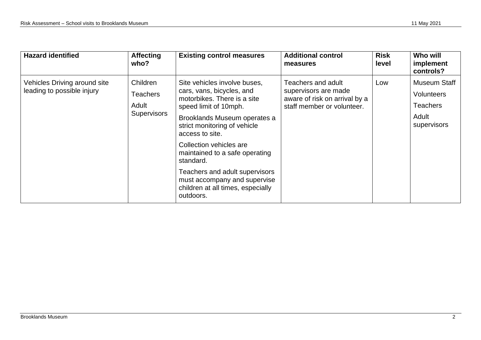| <b>Hazard identified</b>                                   | <b>Affecting</b><br>who?                                   | <b>Existing control measures</b>                                                                                                                                                                                                                                                                                                                                                                   | <b>Additional control</b><br>measures                                                                     | <b>Risk</b><br>level | Who will<br>implement<br>controls?                                    |
|------------------------------------------------------------|------------------------------------------------------------|----------------------------------------------------------------------------------------------------------------------------------------------------------------------------------------------------------------------------------------------------------------------------------------------------------------------------------------------------------------------------------------------------|-----------------------------------------------------------------------------------------------------------|----------------------|-----------------------------------------------------------------------|
| Vehicles Driving around site<br>leading to possible injury | Children<br><b>Teachers</b><br>Adult<br><b>Supervisors</b> | Site vehicles involve buses,<br>cars, vans, bicycles, and<br>motorbikes. There is a site<br>speed limit of 10mph.<br>Brooklands Museum operates a<br>strict monitoring of vehicle<br>access to site.<br>Collection vehicles are<br>maintained to a safe operating<br>standard.<br>Teachers and adult supervisors<br>must accompany and supervise<br>children at all times, especially<br>outdoors. | Teachers and adult<br>supervisors are made<br>aware of risk on arrival by a<br>staff member or volunteer. | Low                  | Museum Staff<br>Volunteers<br><b>Teachers</b><br>Adult<br>supervisors |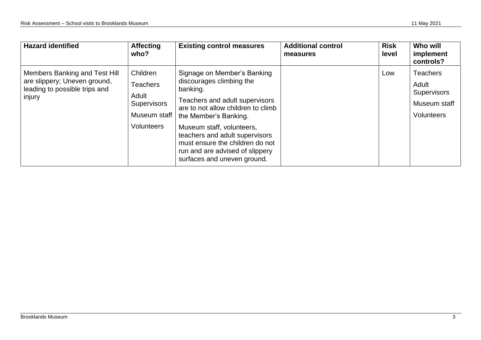| <b>Hazard identified</b>                                                                                 | <b>Affecting</b><br>who?                                                                        | <b>Existing control measures</b>                                                                                                                                                                                                                                                                                                         | <b>Additional control</b><br>measures | <b>Risk</b><br>level | Who will<br>implement<br>controls?                                           |
|----------------------------------------------------------------------------------------------------------|-------------------------------------------------------------------------------------------------|------------------------------------------------------------------------------------------------------------------------------------------------------------------------------------------------------------------------------------------------------------------------------------------------------------------------------------------|---------------------------------------|----------------------|------------------------------------------------------------------------------|
| Members Banking and Test Hill<br>are slippery; Uneven ground,<br>leading to possible trips and<br>injury | Children<br><b>Teachers</b><br>Adult<br><b>Supervisors</b><br>Museum staff<br><b>Volunteers</b> | Signage on Member's Banking<br>discourages climbing the<br>banking.<br>Teachers and adult supervisors<br>are to not allow children to climb<br>the Member's Banking.<br>Museum staff, volunteers,<br>teachers and adult supervisors<br>must ensure the children do not<br>run and are advised of slippery<br>surfaces and uneven ground. |                                       | Low                  | Teachers<br>Adult<br><b>Supervisors</b><br>Museum staff<br><b>Volunteers</b> |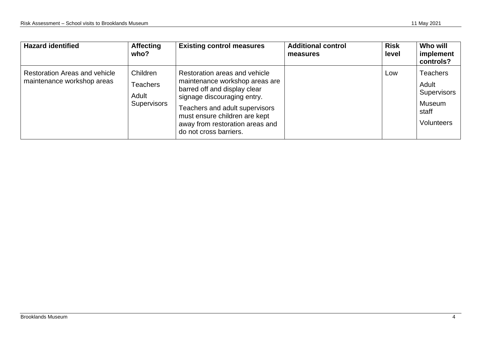| <b>Hazard identified</b>                                           | <b>Affecting</b><br>who?                                   | <b>Existing control measures</b>                                                                                                                                                                                                                               | <b>Additional control</b><br>measures | <b>Risk</b><br>level | <b>Who will</b><br>implement<br>controls?                                       |
|--------------------------------------------------------------------|------------------------------------------------------------|----------------------------------------------------------------------------------------------------------------------------------------------------------------------------------------------------------------------------------------------------------------|---------------------------------------|----------------------|---------------------------------------------------------------------------------|
| <b>Restoration Areas and vehicle</b><br>maintenance workshop areas | Children<br><b>Teachers</b><br>Adult<br><b>Supervisors</b> | Restoration areas and vehicle<br>maintenance workshop areas are<br>barred off and display clear<br>signage discouraging entry.<br>Teachers and adult supervisors<br>must ensure children are kept<br>away from restoration areas and<br>do not cross barriers. |                                       | Low                  | <b>Teachers</b><br>Adult<br><b>Supervisors</b><br>Museum<br>staff<br>Volunteers |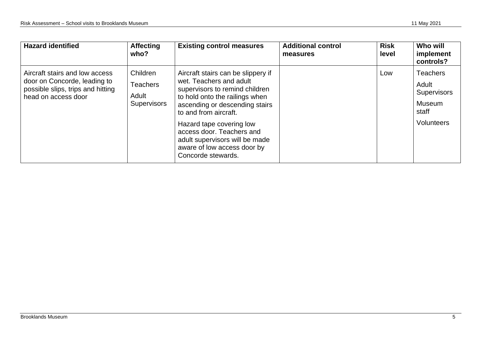| <b>Hazard identified</b>                                                                                                   | <b>Affecting</b><br>who?                                   | <b>Existing control measures</b>                                                                                                                                                                                                                                                                                                             | <b>Additional control</b><br>measures | <b>Risk</b><br>level | Who will<br>implement<br>controls?                                              |
|----------------------------------------------------------------------------------------------------------------------------|------------------------------------------------------------|----------------------------------------------------------------------------------------------------------------------------------------------------------------------------------------------------------------------------------------------------------------------------------------------------------------------------------------------|---------------------------------------|----------------------|---------------------------------------------------------------------------------|
| Aircraft stairs and low access<br>door on Concorde, leading to<br>possible slips, trips and hitting<br>head on access door | Children<br><b>Teachers</b><br>Adult<br><b>Supervisors</b> | Aircraft stairs can be slippery if<br>wet. Teachers and adult<br>supervisors to remind children<br>to hold onto the railings when<br>ascending or descending stairs<br>to and from aircraft.<br>Hazard tape covering low<br>access door. Teachers and<br>adult supervisors will be made<br>aware of low access door by<br>Concorde stewards. |                                       | Low                  | <b>Teachers</b><br>Adult<br><b>Supervisors</b><br>Museum<br>staff<br>Volunteers |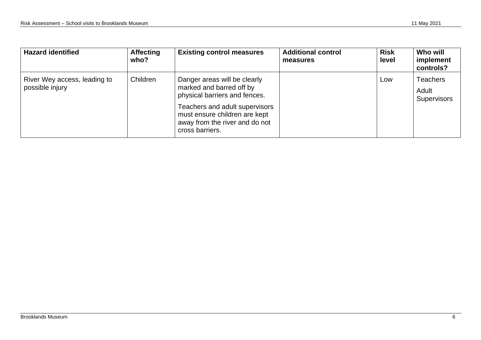| <b>Hazard identified</b>                        | <b>Affecting</b><br>who? | <b>Existing control measures</b>                                                                                                                                                                                  | <b>Additional control</b><br>measures | <b>Risk</b><br>level | Who will<br>implement<br>controls?      |
|-------------------------------------------------|--------------------------|-------------------------------------------------------------------------------------------------------------------------------------------------------------------------------------------------------------------|---------------------------------------|----------------------|-----------------------------------------|
| River Wey access, leading to<br>possible injury | Children                 | Danger areas will be clearly<br>marked and barred off by<br>physical barriers and fences.<br>Teachers and adult supervisors<br>must ensure children are kept<br>away from the river and do not<br>cross barriers. |                                       | Low                  | <b>Teachers</b><br>Adult<br>Supervisors |